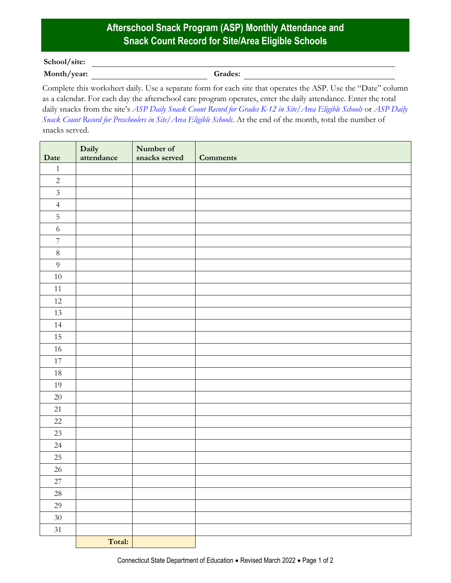## **Afterschool Snack Program (ASP) Monthly Attendance and Snack Count Record for Site/Area Eligible Schools**

## **School/site:**

**Month/year: Grades:**

Complete this worksheet daily. Use a separate form for each site that operates the ASP. Use the "Date" column as a calendar. For each day the afterschool care program operates, enter the daily attendance. Enter the total daily snacks from the site's *[ASP Daily Snack Count Record for Grades K-12 in Site/Area Eligible Schools](https://portal.ct.gov/-/media/SDE/Nutrition/ASP/Forms/Daily_Count_ASP_grades_K-12_Site_Area_Eligible.pdf)* or *[ASP Daily](https://portal.ct.gov/-/media/SDE/Nutrition/ASP/Forms/Daily_Count_ASP_preschool_Site_Area_Eligible.pdf)  [Snack Count Record for Preschoolers in Site/Area Eligible Schools](https://portal.ct.gov/-/media/SDE/Nutrition/ASP/Forms/Daily_Count_ASP_preschool_Site_Area_Eligible.pdf)*. At the end of the month, total the number of snacks served.

| Date             | Daily<br>attendance | Number of<br>snacks served | <b>Comments</b> |
|------------------|---------------------|----------------------------|-----------------|
| $\mathbf{1}$     |                     |                            |                 |
| $\sqrt{2}$       |                     |                            |                 |
| $\mathfrak{Z}$   |                     |                            |                 |
| $\overline{4}$   |                     |                            |                 |
| $\mathbf 5$      |                     |                            |                 |
| $\sqrt{6}$       |                     |                            |                 |
| $\boldsymbol{7}$ |                     |                            |                 |
| $\,8\,$          |                     |                            |                 |
| $\boldsymbol{9}$ |                     |                            |                 |
| $10\,$           |                     |                            |                 |
| $11\,$           |                     |                            |                 |
| 12               |                     |                            |                 |
| 13               |                     |                            |                 |
| 14               |                     |                            |                 |
| 15               |                     |                            |                 |
| 16               |                     |                            |                 |
| $17\,$           |                     |                            |                 |
| $18\,$           |                     |                            |                 |
| 19               |                     |                            |                 |
| $20\,$           |                     |                            |                 |
| 21               |                     |                            |                 |
| $22\,$           |                     |                            |                 |
| $23\,$           |                     |                            |                 |
| $24\,$           |                     |                            |                 |
| $25\,$           |                     |                            |                 |
| $26\,$           |                     |                            |                 |
| $27\,$           |                     |                            |                 |
| 28               |                     |                            |                 |
| 29               |                     |                            |                 |
| $30\,$           |                     |                            |                 |
| 31               |                     |                            |                 |
|                  | Total:              |                            |                 |